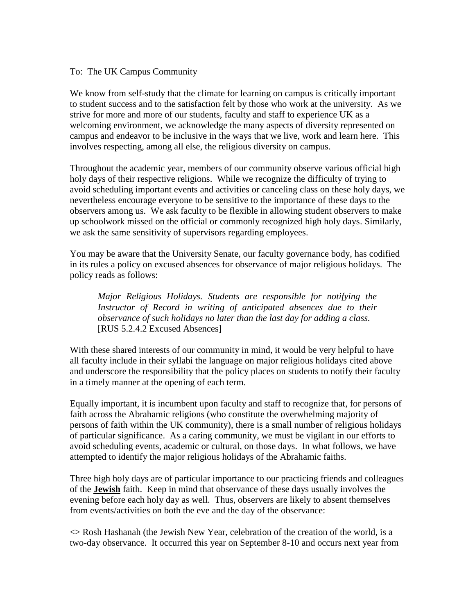## To: The UK Campus Community

We know from self-study that the climate for learning on campus is critically important to student success and to the satisfaction felt by those who work at the university. As we strive for more and more of our students, faculty and staff to experience UK as a welcoming environment, we acknowledge the many aspects of diversity represented on campus and endeavor to be inclusive in the ways that we live, work and learn here. This involves respecting, among all else, the religious diversity on campus.

Throughout the academic year, members of our community observe various official high holy days of their respective religions. While we recognize the difficulty of trying to avoid scheduling important events and activities or canceling class on these holy days, we nevertheless encourage everyone to be sensitive to the importance of these days to the observers among us. We ask faculty to be flexible in allowing student observers to make up schoolwork missed on the official or commonly recognized high holy days. Similarly, we ask the same sensitivity of supervisors regarding employees.

You may be aware that the University Senate, our faculty governance body, has codified in its rules a policy on excused absences for observance of major religious holidays. The policy reads as follows:

*Major Religious Holidays. Students are responsible for notifying the Instructor of Record in writing of anticipated absences due to their observance of such holidays no later than the last day for adding a class.*  [RUS 5.2.4.2 Excused Absences]

With these shared interests of our community in mind, it would be very helpful to have all faculty include in their syllabi the language on major religious holidays cited above and underscore the responsibility that the policy places on students to notify their faculty in a timely manner at the opening of each term.

Equally important, it is incumbent upon faculty and staff to recognize that, for persons of faith across the Abrahamic religions (who constitute the overwhelming majority of persons of faith within the UK community), there is a small number of religious holidays of particular significance. As a caring community, we must be vigilant in our efforts to avoid scheduling events, academic or cultural, on those days. In what follows, we have attempted to identify the major religious holidays of the Abrahamic faiths.

Three high holy days are of particular importance to our practicing friends and colleagues of the **Jewish** faith. Keep in mind that observance of these days usually involves the evening before each holy day as well. Thus, observers are likely to absent themselves from events/activities on both the eve and the day of the observance:

 $\Diamond$  Rosh Hashanah (the Jewish New Year, celebration of the creation of the world, is a two-day observance. It occurred this year on September 8-10 and occurs next year from